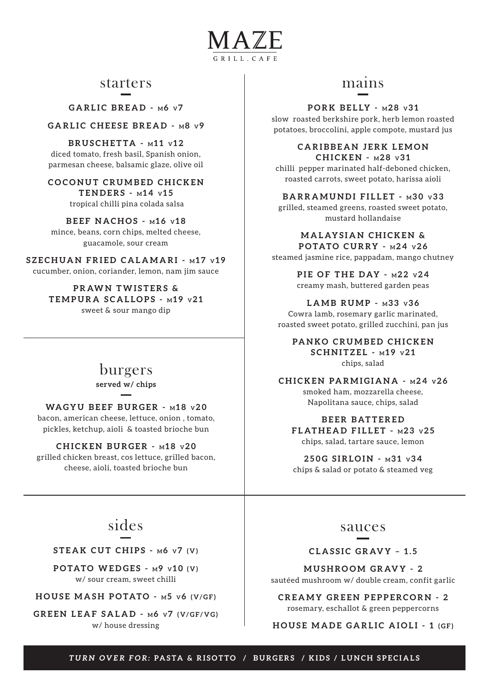

### starters

GARLIC BREAD - M6 v7

GARLIC CHEESE BREAD - M8 v9

**BRUSCHETTA - M11 v12** diced tomato, fresh basil, Spanish onion, parmesan cheese, balsamic glaze, olive oil

**COCONUT CRUMBED CHICKEN TENDERS - M 14 V 1 5**

tropical chilli pina colada salsa

**BEEF NACHOS -**  $M16$  **v18** mince, beans, corn chips, melted cheese, guacamole, sour cream

**SZECHUAN FRIED CALAMARI - m17 v19** cucumber, onion, coriander, lemon, nam jim sauce

> **PRAWN TWISTERS & TEMPURA SCALLOPS - M 19 V 2 1** sweet & sour mango dip

### burgers

**served w/ chips** 

### **WAG Y U B E E F B U RG E R - M 18 V 2 0**

bacon, american cheese, lettuce, onion , tomato, pickles, ketchup, aioli & toasted brioche bun

### **CHICKEN BURGER - M 18 V 2 0**

grilled chicken breast, cos lettuce, grilled bacon, cheese, aioli, toasted brioche bun

### mains

### **PORK BELLY -**  $\text{M28 V31}$

slow roasted berkshire pork, herb lemon roasted potatoes, broccolini, apple compote, mustard jus

### **CARIBBEAN JERK LEMON CHICKEN - M 28 V 3 1**

chilli pepper marinated half-deboned chicken, roasted carrots, sweet potato, harissa aioli

**BARRAMUNDI FILLET - M30 v33** 

grilled, steamed greens, roasted sweet potato, mustard hollandaise

#### **MALAYSIAN CHICKEN & POTATO CURRY - M 24 V 2 6**

steamed jasmine rice, pappadam, mango chutney

**PIE OF THE DAY - M 22 V 2 4** creamy mash, buttered garden peas

**LAMB RUMP - M 33 V 3 6**

Cowra lamb, rosemary garlic marinated, roasted sweet potato, grilled zucchini, pan jus

**PANKO CRUMBED CHICKEN**  $SCHNITZEL - M19 V21$ chips, salad

**CHICKEN PARMIGIANA - M 24 V 2 6** smoked ham, mozzarella cheese, Napolitana sauce, chips, salad

**B E E R B AT T E R E D FLATHEAD FILLET - M 23 V 2 5** chips, salad, tartare sauce, lemon

**250G SIRLOIN - M 31 V 3 4** chips & salad or potato & steamed veg

# sides

**STEAK CUT CHIPS - M6 v7 (V)** 

**POTATO WEDGES -**  $M$ **9 v10 (V)** w/ sour cream, sweet chilli

**HOUSE MASH POTATO - M5 V6 (V/GF)** 

GREEN LEAF SALAD - M6 v7 (V/GF/VG) w/ house dressing

### sauces

### **CLASSIC GRAVY - 1.5**

**MUSHROOM GRAVY - 2** sautéed mushroom w/ double cream, confit garlic

**CREAMY GREEN PEPPERCORN - 2** rosemary, eschallot & green peppercorns

**HOUSE MADE GARLIC AIOLI - 1 (GF)**

*TURN OVER FOR:* **PASTA & RISOTTO / BURGERS / KIDS / LUNCH SPECIALS**